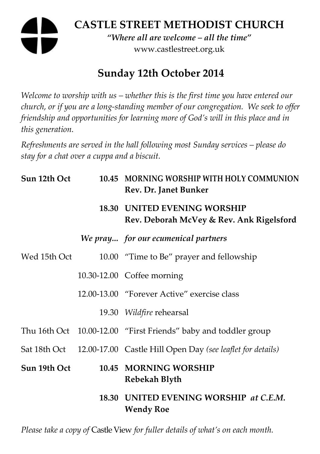# **CASTLE STREET METHODIST CHURCH**  *"Where all are welcome – all the time"*  www.castlestreet.org.uk

# **Sunday 12th October 2014**

*Welcome to worship with us – whether this is the first time you have entered our church, or if you are a long-standing member of our congregation. We seek to offer friendship and opportunities for learning more of God's will in this place and in this generation.* 

*Refreshments are served in the hall following most Sunday services – please do stay for a chat over a cuppa and a biscuit.* 

| Sun 12th Oct | 10.45 MORNING WORSHIP WITH HOLY COMMUNION<br>Rev. Dr. Janet Bunker              |
|--------------|---------------------------------------------------------------------------------|
|              | <b>18.30 UNITED EVENING WORSHIP</b><br>Rev. Deborah McVey & Rev. Ank Rigelsford |
|              | We pray for our ecumenical partners                                             |
| Wed 15th Oct | 10.00 "Time to Be" prayer and fellowship                                        |
|              | 10.30-12.00 Coffee morning                                                      |
|              | 12.00-13.00 "Forever Active" exercise class                                     |
|              | 19.30 Wildfire rehearsal                                                        |
|              | Thu 16th Oct 10.00-12.00 "First Friends" baby and toddler group                 |
|              | Sat 18th Oct 12.00-17.00 Castle Hill Open Day (see leaflet for details)         |
| Sun 19th Oct | 10.45 MORNING WORSHIP<br>Rebekah Blyth                                          |
|              | 18.30 UNITED EVENING WORSHIP at C.E.M.<br><b>Wendy Roe</b>                      |

*Please take a copy of* Castle View *for fuller details of what's on each month.*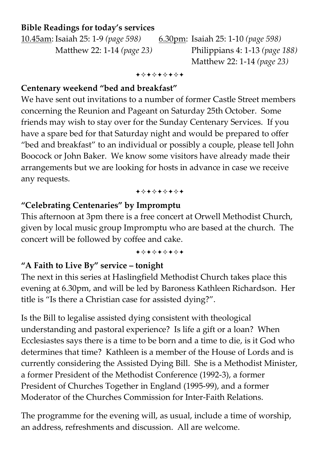# **Bible Readings for today's services**

10.45am: Isaiah 25: 1-9 *(page 598)* 6.30pm: Isaiah 25: 1-10 *(page 598)*  Matthew 22: 1-14 *(page 23)* Philippians 4: 1-13 *(page 188)*  Matthew 22: 1-14 *(page 23)* 

#### +\*\*\*\*\*\*\*

### **Centenary weekend "bed and breakfast"**

We have sent out invitations to a number of former Castle Street members concerning the Reunion and Pageant on Saturday 25th October. Some friends may wish to stay over for the Sunday Centenary Services. If you have a spare bed for that Saturday night and would be prepared to offer "bed and breakfast" to an individual or possibly a couple, please tell John Boocock or John Baker. We know some visitors have already made their arrangements but we are looking for hosts in advance in case we receive any requests.

#### +\*\*\*\*\*\*\*

### **"Celebrating Centenaries" by Impromptu**

This afternoon at 3pm there is a free concert at Orwell Methodist Church, given by local music group Impromptu who are based at the church. The concert will be followed by coffee and cake.

#### +\*\*\*\*\*\*\*

# **"A Faith to Live By" service – tonight**

The next in this series at Haslingfield Methodist Church takes place this evening at 6.30pm, and will be led by Baroness Kathleen Richardson. Her title is "Is there a Christian case for assisted dying?".

Is the Bill to legalise assisted dying consistent with theological understanding and pastoral experience? Is life a gift or a loan? When Ecclesiastes says there is a time to be born and a time to die, is it God who determines that time? Kathleen is a member of the House of Lords and is currently considering the Assisted Dying Bill. She is a Methodist Minister, a former President of the Methodist Conference (1992-3), a former President of Churches Together in England (1995-99), and a former Moderator of the Churches Commission for Inter-Faith Relations.

The programme for the evening will, as usual, include a time of worship, an address, refreshments and discussion. All are welcome.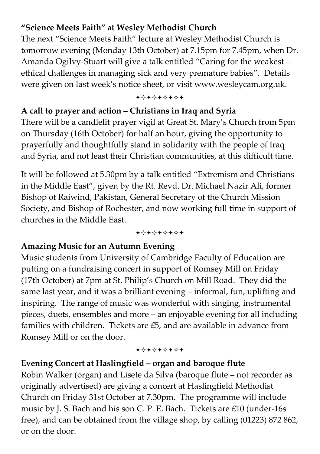# **"Science Meets Faith" at Wesley Methodist Church**

The next "Science Meets Faith" lecture at Wesley Methodist Church is tomorrow evening (Monday 13th October) at 7.15pm for 7.45pm, when Dr. Amanda Ogilvy-Stuart will give a talk entitled "Caring for the weakest – ethical challenges in managing sick and very premature babies". Details were given on last week's notice sheet, or visit www.wesleycam.org.uk.

#### +\*\*\*\*\*\*\*

# **A call to prayer and action – Christians in Iraq and Syria**

There will be a candlelit prayer vigil at Great St. Mary's Church from 5pm on Thursday (16th October) for half an hour, giving the opportunity to prayerfully and thoughtfully stand in solidarity with the people of Iraq and Syria, and not least their Christian communities, at this difficult time.

It will be followed at 5.30pm by a talk entitled "Extremism and Christians in the Middle East", given by the Rt. Revd. Dr. Michael Nazir Ali, former Bishop of Raiwind, Pakistan, General Secretary of the Church Mission Society, and Bishop of Rochester, and now working full time in support of churches in the Middle East.

+\*\*\*\*\*\*\*

### **Amazing Music for an Autumn Evening**

Music students from University of Cambridge Faculty of Education are putting on a fundraising concert in support of Romsey Mill on Friday (17th October) at 7pm at St. Philip's Church on Mill Road. They did the same last year, and it was a brilliant evening – informal, fun, uplifting and inspiring. The range of music was wonderful with singing, instrumental pieces, duets, ensembles and more – an enjoyable evening for all including families with children. Tickets are £5, and are available in advance from Romsey Mill or on the door.

#### +\*+\*\*\*\*\*

# **Evening Concert at Haslingfield – organ and baroque flute**

Robin Walker (organ) and Lisete da Silva (baroque flute – not recorder as originally advertised) are giving a concert at Haslingfield Methodist Church on Friday 31st October at 7.30pm. The programme will include music by J. S. Bach and his son C. P. E. Bach. Tickets are £10 (under-16s free), and can be obtained from the village shop, by calling (01223) 872 862, or on the door.